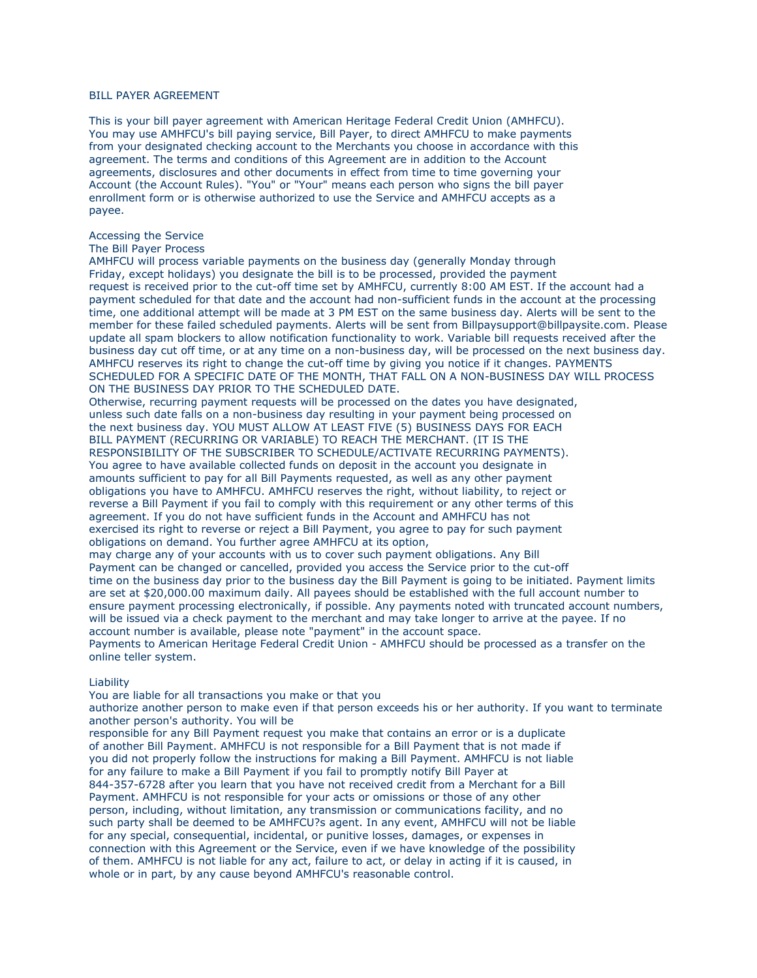# BILL PAYER AGREEMENT

This is your bill payer agreement with American Heritage Federal Credit Union (AMHFCU). You may use AMHFCU's bill paying service, Bill Payer, to direct AMHFCU to make payments from your designated checking account to the Merchants you choose in accordance with this agreement. The terms and conditions of this Agreement are in addition to the Account agreements, disclosures and other documents in effect from time to time governing your Account (the Account Rules). "You" or "Your" means each person who signs the bill payer enrollment form or is otherwise authorized to use the Service and AMHFCU accepts as a payee.

## Accessing the Service

### The Bill Payer Process

AMHFCU will process variable payments on the business day (generally Monday through Friday, except holidays) you designate the bill is to be processed, provided the payment request is received prior to the cut-off time set by AMHFCU, currently 8:00 AM EST. If the account had a payment scheduled for that date and the account had non-sufficient funds in the account at the processing time, one additional attempt will be made at 3 PM EST on the same business day. Alerts will be sent to the member for these failed scheduled payments. Alerts will be sent from Billpaysupport@billpaysite.com. Please update all spam blockers to allow notification functionality to work. Variable bill requests received after the business day cut off time, or at any time on a non-business day, will be processed on the next business day. AMHFCU reserves its right to change the cut-off time by giving you notice if it changes. PAYMENTS SCHEDULED FOR A SPECIFIC DATE OF THE MONTH, THAT FALL ON A NON-BUSINESS DAY WILL PROCESS ON THE BUSINESS DAY PRIOR TO THE SCHEDULED DATE.

Otherwise, recurring payment requests will be processed on the dates you have designated, unless such date falls on a non-business day resulting in your payment being processed on the next business day. YOU MUST ALLOW AT LEAST FIVE (5) BUSINESS DAYS FOR EACH BILL PAYMENT (RECURRING OR VARIABLE) TO REACH THE MERCHANT. (IT IS THE RESPONSIBILITY OF THE SUBSCRIBER TO SCHEDULE/ACTIVATE RECURRING PAYMENTS). You agree to have available collected funds on deposit in the account you designate in amounts sufficient to pay for all Bill Payments requested, as well as any other payment obligations you have to AMHFCU. AMHFCU reserves the right, without liability, to reject or reverse a Bill Payment if you fail to comply with this requirement or any other terms of this agreement. If you do not have sufficient funds in the Account and AMHFCU has not exercised its right to reverse or reject a Bill Payment, you agree to pay for such payment obligations on demand. You further agree AMHFCU at its option,

may charge any of your accounts with us to cover such payment obligations. Any Bill Payment can be changed or cancelled, provided you access the Service prior to the cut-off time on the business day prior to the business day the Bill Payment is going to be initiated. Payment limits are set at \$20,000.00 maximum daily. All payees should be established with the full account number to ensure payment processing electronically, if possible. Any payments noted with truncated account numbers, will be issued via a check payment to the merchant and may take longer to arrive at the payee. If no account number is available, please note "payment" in the account space. Payments to American Heritage Federal Credit Union - AMHFCU should be processed as a transfer on the

online teller system.

## Liability

You are liable for all transactions you make or that you

authorize another person to make even if that person exceeds his or her authority. If you want to terminate another person's authority. You will be

responsible for any Bill Payment request you make that contains an error or is a duplicate of another Bill Payment. AMHFCU is not responsible for a Bill Payment that is not made if you did not properly follow the instructions for making a Bill Payment. AMHFCU is not liable for any failure to make a Bill Payment if you fail to promptly notify Bill Payer at 844-357-6728 after you learn that you have not received credit from a Merchant for a Bill Payment. AMHFCU is not responsible for your acts or omissions or those of any other person, including, without limitation, any transmission or communications facility, and no such party shall be deemed to be AMHFCU?s agent. In any event, AMHFCU will not be liable for any special, consequential, incidental, or punitive losses, damages, or expenses in connection with this Agreement or the Service, even if we have knowledge of the possibility of them. AMHFCU is not liable for any act, failure to act, or delay in acting if it is caused, in whole or in part, by any cause beyond AMHFCU's reasonable control.